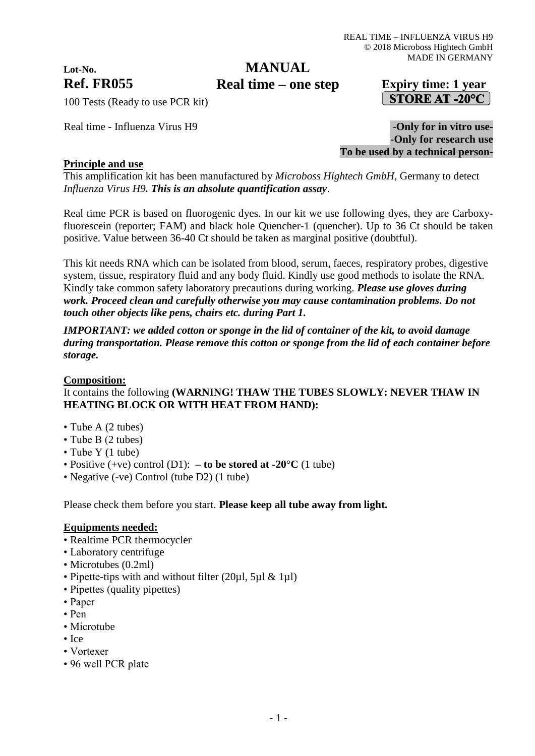# **Lot-No.**

## **MANUAL**

## **Ref. FR055 Expiry time: 1 year Real time – one step**STORE AT -20 $^{\circ}$ C

100 Tests (Ready to use PCR kit)

Real time - Influenza Virus H9  $-$ **Only for in vitro use-**-**Only for research use To be used by a technical person-**

### **Principle and use**

This amplification kit has been manufactured by *Microboss Hightech GmbH*, Germany to detect *Influenza Virus H9. This is an absolute quantification assay*.

Real time PCR is based on fluorogenic dyes. In our kit we use following dyes, they are Carboxyfluorescein (reporter; FAM) and black hole Quencher-1 (quencher). Up to 36 Ct should be taken positive. Value between 36-40 Ct should be taken as marginal positive (doubtful).

This kit needs RNA which can be isolated from blood, serum, faeces, respiratory probes, digestive system, tissue, respiratory fluid and any body fluid. Kindly use good methods to isolate the RNA. Kindly take common safety laboratory precautions during working. *Please use gloves during work. Proceed clean and carefully otherwise you may cause contamination problems. Do not touch other objects like pens, chairs etc. during Part 1.*

*IMPORTANT: we added cotton or sponge in the lid of container of the kit, to avoid damage during transportation. Please remove this cotton or sponge from the lid of each container before storage.*

#### **Composition:**

## It contains the following **(WARNING! THAW THE TUBES SLOWLY: NEVER THAW IN HEATING BLOCK OR WITH HEAT FROM HAND):**

- Tube A (2 tubes)
- Tube B (2 tubes)
- Tube Y (1 tube)
- Positive  $(+ve)$  control  $(D1)$ :  **to be stored at -20°C** (1 tube)
- Negative (-ve) Control (tube D2) (1 tube)

Please check them before you start. **Please keep all tube away from light.**

#### **Equipments needed:**

- Realtime PCR thermocycler
- Laboratory centrifuge
- Microtubes (0.2ml)
- Pipette-tips with and without filter (20ul, 5ul & 1ul)
- Pipettes (quality pipettes)
- Paper
- Pen
- Microtube
- Ice
- Vortexer
- 96 well PCR plate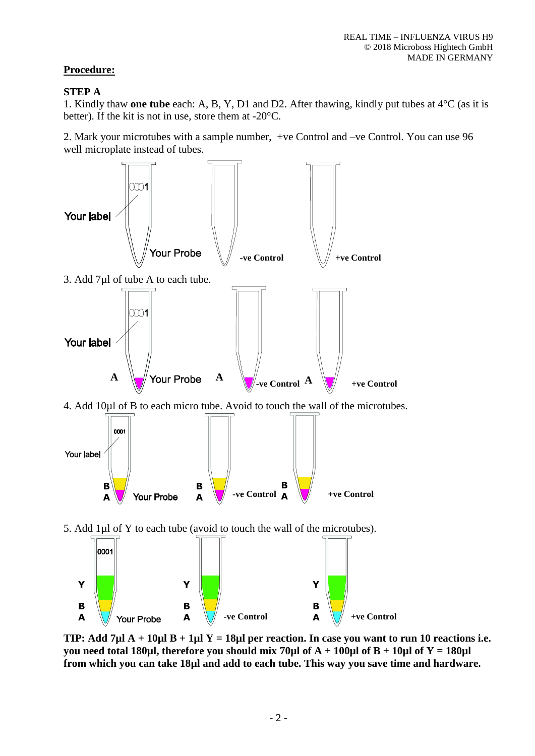## **Procedure:**

#### **STEP A**

1. Kindly thaw **one tube** each: A, B, Y, D1 and D2. After thawing, kindly put tubes at 4°C (as it is better). If the kit is not in use, store them at -20°C.

2. Mark your microtubes with a sample number, +ve Control and –ve Control. You can use 96 well microplate instead of tubes.



**TIP: Add 7µl A + 10µl B + 1µl Y = 18µl per reaction. In case you want to run 10 reactions i.e. you need total 180µl, therefore you should mix 70µl of A + 100µl of B + 10µl of Y = 180µl from which you can take 18µl and add to each tube. This way you save time and hardware.**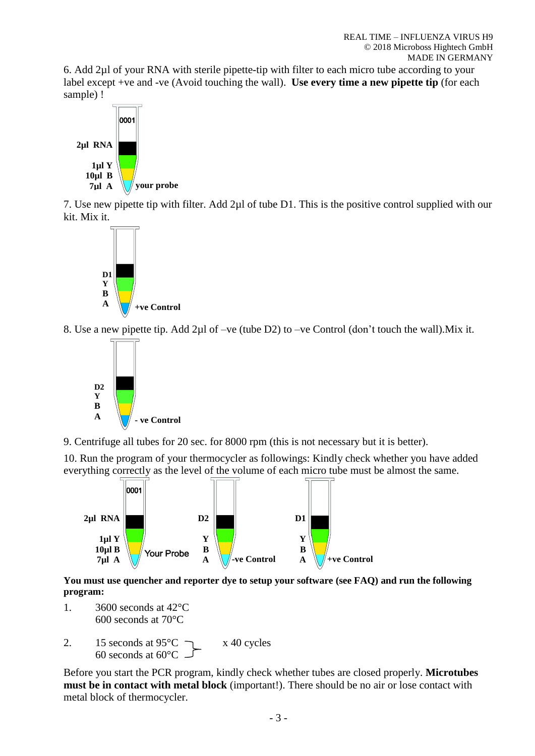6. Add 2µl of your RNA with sterile pipette-tip with filter to each micro tube according to your label except +ve and -ve (Avoid touching the wall). **Use every time a new pipette tip** (for each sample) !



7. Use new pipette tip with filter. Add 2µl of tube D1. This is the positive control supplied with our kit. Mix it.



8. Use a new pipette tip. Add 2µl of –ve (tube D2) to –ve Control (don't touch the wall).Mix it.



9. Centrifuge all tubes for 20 sec. for 8000 rpm (this is not necessary but it is better).

10. Run the program of your thermocycler as followings: Kindly check whether you have added everything correctly as the level of the volume of each micro tube must be almost the same.



**You must use quencher and reporter dye to setup your software (see FAQ) and run the following program:**

- 1. 3600 seconds at 42°C 600 seconds at 70°C
- 2. 15 seconds at  $95^{\circ}$ C  $\rightarrow x$  40 cycles 60 seconds at 60°C

Before you start the PCR program, kindly check whether tubes are closed properly. **Microtubes must be in contact with metal block** (important!). There should be no air or lose contact with metal block of thermocycler.